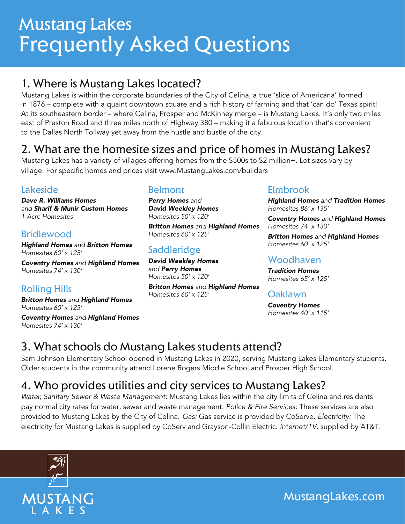# Mustang Lakes Frequently Asked Questions

# 1. Where is Mustang Lakes located?

Mustang Lakes is within the corporate boundaries of the City of Celina, a true 'slice of Americana' formed in 1876 – complete with a quaint downtown square and a rich history of farming and that 'can do' Texas spirit! At its southeastern border – where Celina, Prosper and McKinney merge – is Mustang Lakes. It's only two miles east of Preston Road and three miles north of Highway 380 – making it a fabulous location that's convenient to the Dallas North Tollway yet away from the hustle and bustle of the city.

# 2. What are the homesite sizes and price of homes in Mustang Lakes?

Mustang Lakes has a variety of villages offering homes from the \$500s to \$2 million+. Lot sizes vary by village. For specific homes and prices visit www.MustangLakes.com/builders

#### Lakeside

*Dave R. Williams Homes and Sharif & Munir Custom Homes 1-Acre Homesites*

#### **Bridlewood**

*Highland Homes and Britton Homes Homesites 60' x 125'*

*Coventry Homes and Highland Homes Homesites 74' x 130'*

#### Rolling Hills

*Britton Homes and Highland Homes Homesites 60' x 125'*

*Coventry Homes and Highland Homes Homesites 74' x 130'*

#### Belmont

*Perry Homes and David Weekley Homes Homesites 50' x 120'*

*Britton Homes and Highland Homes Homesites 60' x 125'*

### **Saddleridge**

*David Weekley Homes and Perry Homes Homesites 50' x 120'*

*Britton Homes and Highland Homes Homesites 60' x 125'*

#### Elmbrook

*Highland Homes and Tradition Homes Homesites 86' x 135'*

*Coventry Homes and Highland Homes Homesites 74' x 130'*

*Britton Homes and Highland Homes Homesites 60' x 125'*

#### Woodhaven

*Tradition Homes Homesites 65' x 125'*

#### Oaklawn

*Coventry Homes Homesites 40' x 115'*

# 3. What schools do Mustang Lakes students attend?

Sam Johnson Elementary School opened in Mustang Lakes in 2020, serving Mustang Lakes Elementary students. Older students in the community attend Lorene Rogers Middle School and Prosper High School.

# 4. Who provides utilities and city services to Mustang Lakes?

*Water, Sanitary Sewer & Waste Management:* Mustang Lakes lies within the city limits of Celina and residents pay normal city rates for water, sewer and waste management. *Police & Fire Services:* These services are also provided to Mustang Lakes by the City of Celina. *Gas:* Gas service is provided by CoServe. *Electricity:* The electricity for Mustang Lakes is supplied by CoServ and Grayson-Collin Electric. *Internet/TV:* supplied by AT&T.



MustangLakes.com